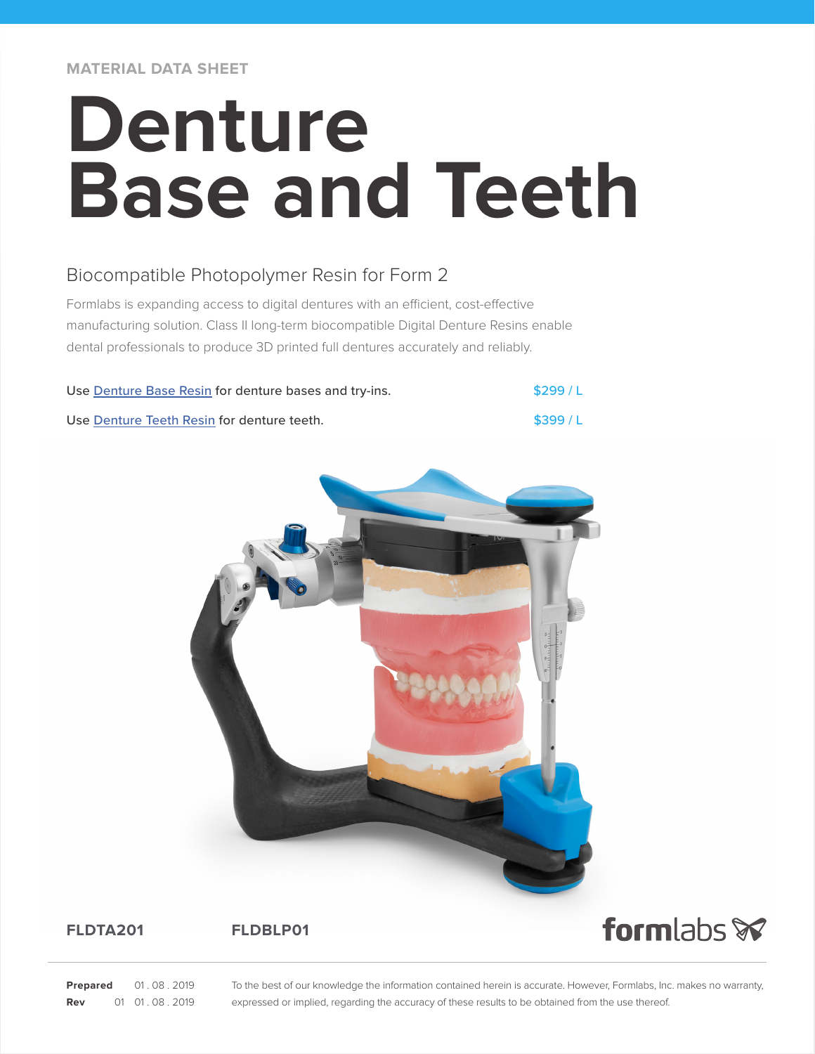**MATERIAL DATA SHEET**

# **Denture Base and Teeth**

# Biocompatible Photopolymer Resin for Form 2

Formlabs is expanding access to digital dentures with an efficient, cost-effective manufacturing solution. Class II long-term biocompatible Digital Denture Resins enable dental professionals to produce 3D printed full dentures accurately and reliably.

| Use Denture Base Resin for denture bases and try-ins. | \$299/L |
|-------------------------------------------------------|---------|
| Use Denture Teeth Resin for denture teeth.            | \$399/L |



# **FLDTA201 FLDBLP01**



**Prepared** 01.08.2019 **Rev** 01 01.08.2019 To the best of our knowledge the information contained herein is accurate. However, Formlabs, Inc. makes no warranty, expressed or implied, regarding the accuracy of these results to be obtained from the use thereof.